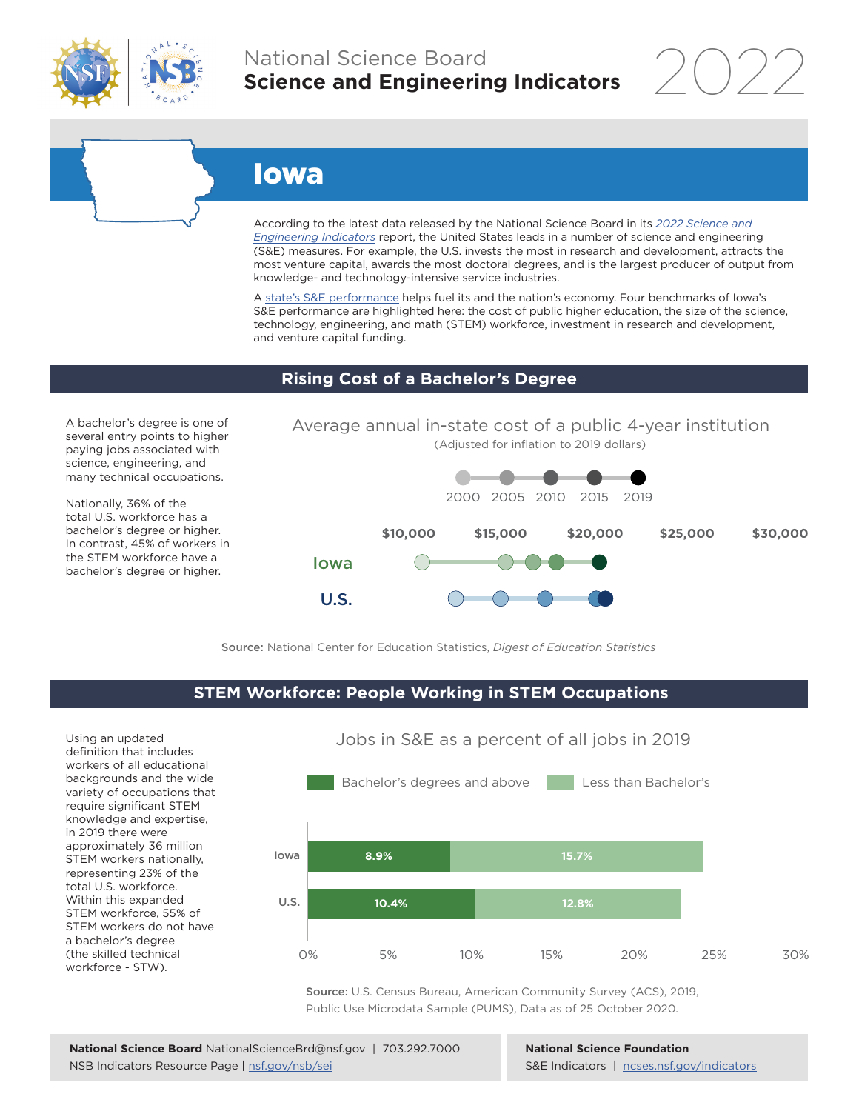

# National Science Board **Science and Engineering Indicators**

2022

# Iowa

According to the latest data released by the National Science Board in its *2022 Science and Engineering Indicators* report, the United States leads in a number of science and engineering (S&E) measures. For example, the U.S. invests the most in research and development, attracts the most venture capital, awards the most doctoral degrees, and is the largest producer of output from knowledge- and technology-intensive service industries.

A state's S&E performance helps fuel its and the nation's economy. Four benchmarks of Iowa's S&E performance are highlighted here: the cost of public higher education, the size of the science, technology, engineering, and math (STEM) workforce, investment in research and development, and venture capital funding.

### **Rising Cost of a Bachelor's Degree**

A bachelor's degree is one of several entry points to higher paying jobs associated with science, engineering, and many technical occupations.

Nationally, 36% of the total U.S. workforce has a bachelor's degree or higher. In contrast, 45% of workers in the STEM workforce have a bachelor's degree or higher.



Source: National Center for Education Statistics, *Digest of Education Statistics*

### **STEM Workforce: People Working in STEM Occupations**

Using an updated definition that includes workers of all educational backgrounds and the wide variety of occupations that require significant STEM knowledge and expertise, in 2019 there were approximately 36 million STEM workers nationally, representing 23% of the total U.S. workforce. Within this expanded STEM workforce, 55% of STEM workers do not have a bachelor's degree (the skilled technical workforce - STW).



Source: U.S. Census Bureau, American Community Survey (ACS), 2019, Public Use Microdata Sample (PUMS), Data as of 25 October 2020.

**National Science Foundation** S&E Indicators | ncses.nsf.gov/indicators

## Jobs in S&E as a percent of all jobs in 2019